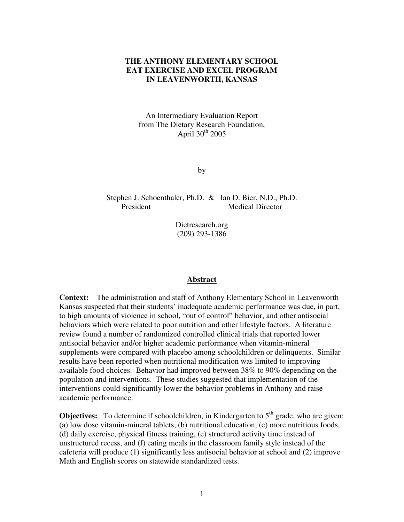# **THE ANTHONY ELEMENTARY SCHOOL EAT EXERCISE AND EXCEL PROGRAM IN LEAVENWORTH, KANSAS**

An Intermediary Evaluation Report from The Dietary Research Foundation, April 30<sup>th</sup> 2005

by

Stephen J. Schoenthaler, Ph.D. & Ian D. Bier, N.D., Ph.D. President Medical Director

> Dietresearch.org (209) 293-1386

#### **Abstract**

**Context:** The administration and staff of Anthony Elementary School in Leavenworth Kansas suspected that their students' inadequate academic performance was due, in part, to high amounts of violence in school, "out of control" behavior, and other antisocial behaviors which were related to poor nutrition and other lifestyle factors. A literature review found a number of randomized controlled clinical trials that reported lower antisocial behavior and/or higher academic performance when vitamin-mineral supplements were compared with placebo among schoolchildren or delinquents. Similar results have been reported when nutritional modification was limited to improving available food choices. Behavior had improved between 38% to 90% depending on the population and interventions. These studies suggested that implementation of the interventions could significantly lower the behavior problems in Anthony and raise academic performance.

**Objectives:** To determine if schoolchildren, in Kindergarten to 5<sup>th</sup> grade, who are given: (a) low dose vitamin-mineral tablets, (b) nutritional education, (c) more nutritious foods, (d) daily exercise, physical fitness training, (e) structured activity time instead of unstructured recess, and (f) eating meals in the classroom family style instead of the cafeteria will produce (1) significantly less antisocial behavior at school and (2) improve Math and English scores on statewide standardized tests.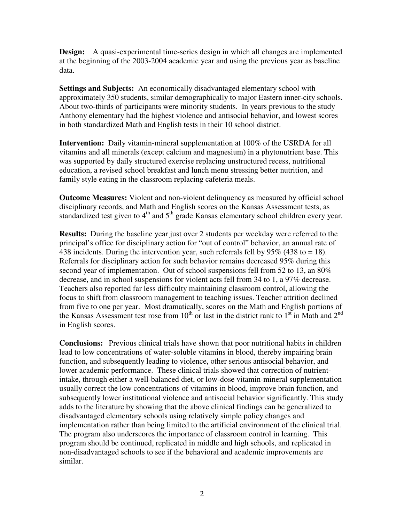**Design:** A quasi-experimental time-series design in which all changes are implemented at the beginning of the 2003-2004 academic year and using the previous year as baseline data.

**Settings and Subjects:** An economically disadvantaged elementary school with approximately 350 students, similar demographically to major Eastern inner-city schools. About two-thirds of participants were minority students. In years previous to the study Anthony elementary had the highest violence and antisocial behavior, and lowest scores in both standardized Math and English tests in their 10 school district.

**Intervention:** Daily vitamin-mineral supplementation at 100% of the USRDA for all vitamins and all minerals (except calcium and magnesium) in a phytonutrient base. This was supported by daily structured exercise replacing unstructured recess, nutritional education, a revised school breakfast and lunch menu stressing better nutrition, and family style eating in the classroom replacing cafeteria meals.

**Outcome Measures:** Violent and non-violent delinquency as measured by official school disciplinary records, and Math and English scores on the Kansas Assessment tests, as standardized test given to  $4<sup>th</sup>$  and  $5<sup>th</sup>$  grade Kansas elementary school children every year.

**Results:** During the baseline year just over 2 students per weekday were referred to the principal's office for disciplinary action for "out of control" behavior, an annual rate of 438 incidents. During the intervention year, such referrals fell by  $95\%$  (438 to = 18). Referrals for disciplinary action for such behavior remains decreased 95% during this second year of implementation. Out of school suspensions fell from 52 to 13, an 80% decrease, and in school suspensions for violent acts fell from 34 to 1, a 97% decrease. Teachers also reported far less difficulty maintaining classroom control, allowing the focus to shift from classroom management to teaching issues. Teacher attrition declined from five to one per year. Most dramatically, scores on the Math and English portions of the Kansas Assessment test rose from  $10^{th}$  or last in the district rank to  $1^{st}$  in Math and  $2^{nd}$ in English scores.

**Conclusions:** Previous clinical trials have shown that poor nutritional habits in children lead to low concentrations of water-soluble vitamins in blood, thereby impairing brain function, and subsequently leading to violence, other serious antisocial behavior, and lower academic performance. These clinical trials showed that correction of nutrientintake, through either a well-balanced diet, or low-dose vitamin-mineral supplementation usually correct the low concentrations of vitamins in blood, improve brain function, and subsequently lower institutional violence and antisocial behavior significantly. This study adds to the literature by showing that the above clinical findings can be generalized to disadvantaged elementary schools using relatively simple policy changes and implementation rather than being limited to the artificial environment of the clinical trial. The program also underscores the importance of classroom control in learning. This program should be continued, replicated in middle and high schools, and replicated in non-disadvantaged schools to see if the behavioral and academic improvements are similar.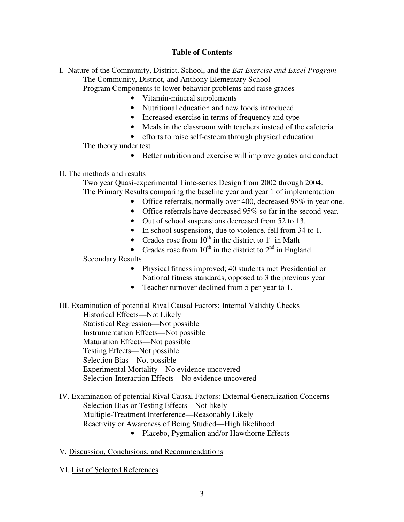# **Table of Contents**

I. Nature of the Community, District, School, and the *Eat Exercise and Excel Program*

The Community, District, and Anthony Elementary School Program Components to lower behavior problems and raise grades

- Vitamin-mineral supplements
- Nutritional education and new foods introduced
- Increased exercise in terms of frequency and type
- Meals in the classroom with teachers instead of the cafeteria
- efforts to raise self-esteem through physical education

The theory under test

• Better nutrition and exercise will improve grades and conduct

## II. The methods and results

Two year Quasi-experimental Time-series Design from 2002 through 2004. The Primary Results comparing the baseline year and year 1 of implementation

- Office referrals, normally over 400, decreased 95% in year one.
- Office referrals have decreased 95% so far in the second year.
- Out of school suspensions decreased from 52 to 13.
- In school suspensions, due to violence, fell from 34 to 1.
- Grades rose from  $10^{th}$  in the district to  $1<sup>st</sup>$  in Math
- Grades rose from  $10^{th}$  in the district to  $2^{nd}$  in England

### Secondary Results

- Physical fitness improved; 40 students met Presidential or National fitness standards, opposed to 3 the previous year
- Teacher turnover declined from 5 per year to 1.
- III. Examination of potential Rival Causal Factors: Internal Validity Checks

Historical Effects—Not Likely Statistical Regression—Not possible Instrumentation Effects—Not possible Maturation Effects—Not possible Testing Effects—Not possible Selection Bias—Not possible Experimental Mortality—No evidence uncovered Selection-Interaction Effects—No evidence uncovered

IV. Examination of potential Rival Causal Factors: External Generalization Concerns Selection Bias or Testing Effects—Not likely Multiple-Treatment Interference—Reasonably Likely Reactivity or Awareness of Being Studied—High likelihood • Placebo, Pygmalion and/or Hawthorne Effects

V*.* Discussion, Conclusions, and Recommendations

VI. List of Selected References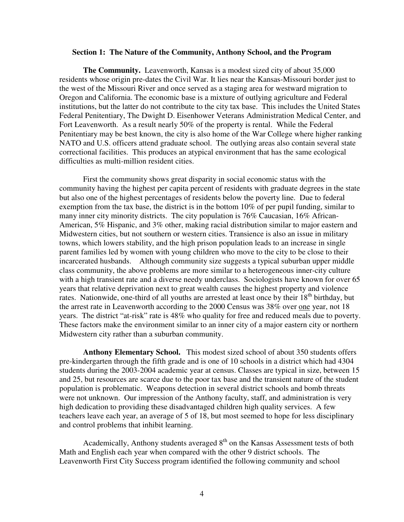#### **Section 1: The Nature of the Community, Anthony School, and the Program**

**The Community.** Leavenworth, Kansas is a modest sized city of about 35,000 residents whose origin pre-dates the Civil War. It lies near the Kansas-Missouri border just to the west of the Missouri River and once served as a staging area for westward migration to Oregon and California. The economic base is a mixture of outlying agriculture and Federal institutions, but the latter do not contribute to the city tax base. This includes the United States Federal Penitentiary, The Dwight D. Eisenhower Veterans Administration Medical Center, and Fort Leavenworth. As a result nearly 50% of the property is rental. While the Federal Penitentiary may be best known, the city is also home of the War College where higher ranking NATO and U.S. officers attend graduate school. The outlying areas also contain several state correctional facilities. This produces an atypical environment that has the same ecological difficulties as multi-million resident cities.

First the community shows great disparity in social economic status with the community having the highest per capita percent of residents with graduate degrees in the state but also one of the highest percentages of residents below the poverty line. Due to federal exemption from the tax base, the district is in the bottom 10% of per pupil funding, similar to many inner city minority districts. The city population is 76% Caucasian, 16% African-American, 5% Hispanic, and 3% other, making racial distribution similar to major eastern and Midwestern cities, but not southern or western cities. Transience is also an issue in military towns, which lowers stability, and the high prison population leads to an increase in single parent families led by women with young children who move to the city to be close to their incarcerated husbands. Although community size suggests a typical suburban upper middle class community, the above problems are more similar to a heterogeneous inner-city culture with a high transient rate and a diverse needy underclass. Sociologists have known for over 65 years that relative deprivation next to great wealth causes the highest property and violence rates. Nationwide, one-third of all youths are arrested at least once by their 18<sup>th</sup> birthday, but the arrest rate in Leavenworth according to the 2000 Census was 38% over one year, not 18 years. The district "at-risk" rate is 48% who quality for free and reduced meals due to poverty. These factors make the environment similar to an inner city of a major eastern city or northern Midwestern city rather than a suburban community.

**Anthony Elementary School.** This modest sized school of about 350 students offers pre-kindergarten through the fifth grade and is one of 10 schools in a district which had 4304 students during the 2003-2004 academic year at census. Classes are typical in size, between 15 and 25, but resources are scarce due to the poor tax base and the transient nature of the student population is problematic. Weapons detection in several district schools and bomb threats were not unknown. Our impression of the Anthony faculty, staff, and administration is very high dedication to providing these disadvantaged children high quality services. A few teachers leave each year, an average of 5 of 18, but most seemed to hope for less disciplinary and control problems that inhibit learning.

Academically, Anthony students averaged  $8<sup>th</sup>$  on the Kansas Assessment tests of both Math and English each year when compared with the other 9 district schools. The Leavenworth First City Success program identified the following community and school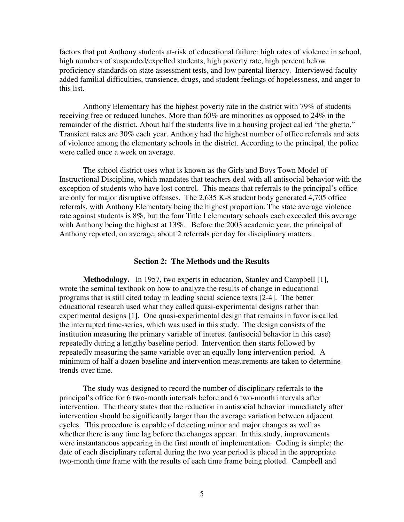factors that put Anthony students at-risk of educational failure: high rates of violence in school, high numbers of suspended/expelled students, high poverty rate, high percent below proficiency standards on state assessment tests, and low parental literacy. Interviewed faculty added familial difficulties, transience, drugs, and student feelings of hopelessness, and anger to this list.

Anthony Elementary has the highest poverty rate in the district with 79% of students receiving free or reduced lunches. More than 60% are minorities as opposed to 24% in the remainder of the district. About half the students live in a housing project called "the ghetto." Transient rates are 30% each year. Anthony had the highest number of office referrals and acts of violence among the elementary schools in the district. According to the principal, the police were called once a week on average.

The school district uses what is known as the Girls and Boys Town Model of Instructional Discipline, which mandates that teachers deal with all antisocial behavior with the exception of students who have lost control. This means that referrals to the principal's office are only for major disruptive offenses. The 2,635 K-8 student body generated 4,705 office referrals, with Anthony Elementary being the highest proportion. The state average violence rate against students is 8%, but the four Title I elementary schools each exceeded this average with Anthony being the highest at 13%. Before the 2003 academic year, the principal of Anthony reported, on average, about 2 referrals per day for disciplinary matters.

### **Section 2: The Methods and the Results**

**Methodology.** In 1957, two experts in education, Stanley and Campbell [1], wrote the seminal textbook on how to analyze the results of change in educational programs that is still cited today in leading social science texts [2-4]. The better educational research used what they called quasi-experimental designs rather than experimental designs [1]. One quasi-experimental design that remains in favor is called the interrupted time-series, which was used in this study. The design consists of the institution measuring the primary variable of interest (antisocial behavior in this case) repeatedly during a lengthy baseline period. Intervention then starts followed by repeatedly measuring the same variable over an equally long intervention period. A minimum of half a dozen baseline and intervention measurements are taken to determine trends over time.

The study was designed to record the number of disciplinary referrals to the principal's office for 6 two-month intervals before and 6 two-month intervals after intervention. The theory states that the reduction in antisocial behavior immediately after intervention should be significantly larger than the average variation between adjacent cycles. This procedure is capable of detecting minor and major changes as well as whether there is any time lag before the changes appear. In this study, improvements were instantaneous appearing in the first month of implementation. Coding is simple; the date of each disciplinary referral during the two year period is placed in the appropriate two-month time frame with the results of each time frame being plotted. Campbell and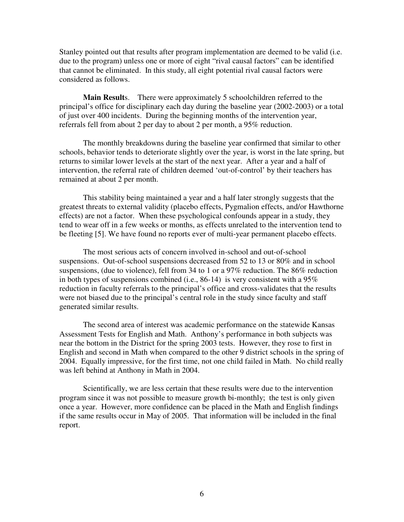Stanley pointed out that results after program implementation are deemed to be valid (i.e. due to the program) unless one or more of eight "rival causal factors" can be identified that cannot be eliminated. In this study, all eight potential rival causal factors were considered as follows.

**Main Results.** There were approximately 5 schoolchildren referred to the principal's office for disciplinary each day during the baseline year (2002-2003) or a total of just over 400 incidents. During the beginning months of the intervention year, referrals fell from about 2 per day to about 2 per month, a 95% reduction.

The monthly breakdowns during the baseline year confirmed that similar to other schools, behavior tends to deteriorate slightly over the year, is worst in the late spring, but returns to similar lower levels at the start of the next year. After a year and a half of intervention, the referral rate of children deemed 'out-of-control' by their teachers has remained at about 2 per month.

This stability being maintained a year and a half later strongly suggests that the greatest threats to external validity (placebo effects, Pygmalion effects, and/or Hawthorne effects) are not a factor. When these psychological confounds appear in a study, they tend to wear off in a few weeks or months, as effects unrelated to the intervention tend to be fleeting [5]. We have found no reports ever of multi-year permanent placebo effects.

The most serious acts of concern involved in-school and out-of-school suspensions. Out-of-school suspensions decreased from 52 to 13 or 80% and in school suspensions, (due to violence), fell from 34 to 1 or a 97% reduction. The 86% reduction in both types of suspensions combined (i.e., 86-14) is very consistent with a  $95\%$ reduction in faculty referrals to the principal's office and cross-validates that the results were not biased due to the principal's central role in the study since faculty and staff generated similar results.

The second area of interest was academic performance on the statewide Kansas Assessment Tests for English and Math. Anthony's performance in both subjects was near the bottom in the District for the spring 2003 tests. However, they rose to first in English and second in Math when compared to the other 9 district schools in the spring of 2004. Equally impressive, for the first time, not one child failed in Math. No child really was left behind at Anthony in Math in 2004.

Scientifically, we are less certain that these results were due to the intervention program since it was not possible to measure growth bi-monthly; the test is only given once a year. However, more confidence can be placed in the Math and English findings if the same results occur in May of 2005. That information will be included in the final report.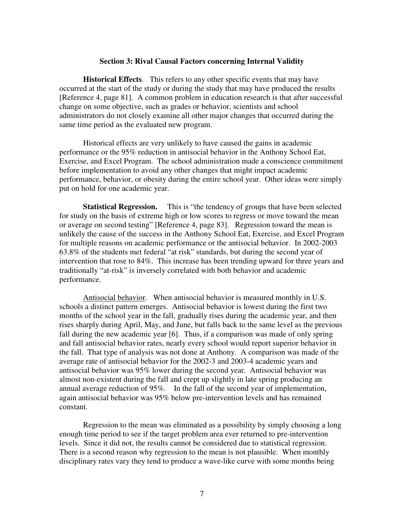#### **Section 3: Rival Causal Factors concerning Internal Validity**

**Historical Effects**. This refers to any other specific events that may have occurred at the start of the study or during the study that may have produced the results [Reference 4, page 81]. A common problem in education research is that after successful change on some objective, such as grades or behavior, scientists and school administrators do not closely examine all other major changes that occurred during the same time period as the evaluated new program.

Historical effects are very unlikely to have caused the gains in academic performance or the 95% reduction in antisocial behavior in the Anthony School Eat, Exercise, and Excel Program. The school administration made a conscience commitment before implementation to avoid any other changes that might impact academic performance, behavior, or obesity during the entire school year. Other ideas were simply put on hold for one academic year.

**Statistical Regression.** This is "the tendency of groups that have been selected for study on the basis of extreme high or low scores to regress or move toward the mean or average on second testing" [Reference 4, page 83]. Regression toward the mean is unlikely the cause of the success in the Anthony School Eat, Exercise, and Excel Program for multiple reasons on academic performance or the antisocial behavior. In 2002-2003 63.8% of the students met federal "at risk" standards, but during the second year of intervention that rose to 84%. This increase has been trending upward for three years and traditionally "at-risk" is inversely correlated with both behavior and academic performance.

Antisocial behavior. When antisocial behavior is measured monthly in U.S. schools a distinct pattern emerges. Antisocial behavior is lowest during the first two months of the school year in the fall, gradually rises during the academic year, and then rises sharply during April, May, and June, but falls back to the same level as the previous fall during the new academic year [6]. Thus, if a comparison was made of only spring and fall antisocial behavior rates, nearly every school would report superior behavior in the fall. That type of analysis was not done at Anthony. A comparison was made of the average rate of antisocial behavior for the 2002-3 and 2003-4 academic years and antisocial behavior was 95% lower during the second year. Antisocial behavior was almost non-existent during the fall and crept up slightly in late spring producing an annual average reduction of 95%. In the fall of the second year of implementation, again antisocial behavior was 95% below pre-intervention levels and has remained constant.

Regression to the mean was eliminated as a possibility by simply choosing a long enough time period to see if the target problem area ever returned to pre-intervention levels. Since it did not, the results cannot be considered due to statistical regression. There is a second reason why regression to the mean is not plausible. When monthly disciplinary rates vary they tend to produce a wave-like curve with some months being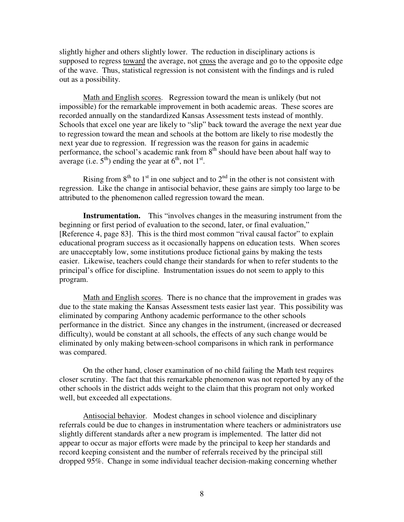slightly higher and others slightly lower. The reduction in disciplinary actions is supposed to regress toward the average, not cross the average and go to the opposite edge of the wave. Thus, statistical regression is not consistent with the findings and is ruled out as a possibility.

Math and English scores. Regression toward the mean is unlikely (but not impossible) for the remarkable improvement in both academic areas. These scores are recorded annually on the standardized Kansas Assessment tests instead of monthly. Schools that excel one year are likely to "slip" back toward the average the next year due to regression toward the mean and schools at the bottom are likely to rise modestly the next year due to regression. If regression was the reason for gains in academic performance, the school's academic rank from 8<sup>th</sup> should have been about half way to average (i.e.  $5^{th}$ ) ending the year at  $6^{th}$ , not  $1^{st}$ .

Rising from  $8<sup>th</sup>$  to  $1<sup>st</sup>$  in one subject and to  $2<sup>nd</sup>$  in the other is not consistent with regression. Like the change in antisocial behavior, these gains are simply too large to be attributed to the phenomenon called regression toward the mean.

**Instrumentation.** This "involves changes in the measuring instrument from the beginning or first period of evaluation to the second, later, or final evaluation," [Reference 4, page 83]. This is the third most common "rival causal factor" to explain educational program success as it occasionally happens on education tests. When scores are unacceptably low, some institutions produce fictional gains by making the tests easier. Likewise, teachers could change their standards for when to refer students to the principal's office for discipline. Instrumentation issues do not seem to apply to this program.

Math and English scores. There is no chance that the improvement in grades was due to the state making the Kansas Assessment tests easier last year. This possibility was eliminated by comparing Anthony academic performance to the other schools performance in the district. Since any changes in the instrument, (increased or decreased difficulty), would be constant at all schools, the effects of any such change would be eliminated by only making between-school comparisons in which rank in performance was compared.

On the other hand, closer examination of no child failing the Math test requires closer scrutiny. The fact that this remarkable phenomenon was not reported by any of the other schools in the district adds weight to the claim that this program not only worked well, but exceeded all expectations.

Antisocial behavior. Modest changes in school violence and disciplinary referrals could be due to changes in instrumentation where teachers or administrators use slightly different standards after a new program is implemented. The latter did not appear to occur as major efforts were made by the principal to keep her standards and record keeping consistent and the number of referrals received by the principal still dropped 95%. Change in some individual teacher decision-making concerning whether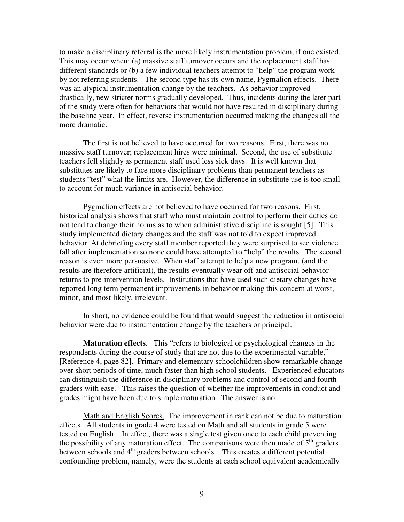to make a disciplinary referral is the more likely instrumentation problem, if one existed. This may occur when: (a) massive staff turnover occurs and the replacement staff has different standards or (b) a few individual teachers attempt to "help" the program work by not referring students. The second type has its own name, Pygmalion effects. There was an atypical instrumentation change by the teachers. As behavior improved drastically, new stricter norms gradually developed. Thus, incidents during the later part of the study were often for behaviors that would not have resulted in disciplinary during the baseline year. In effect, reverse instrumentation occurred making the changes all the more dramatic.

The first is not believed to have occurred for two reasons. First, there was no massive staff turnover; replacement hires were minimal. Second, the use of substitute teachers fell slightly as permanent staff used less sick days. It is well known that substitutes are likely to face more disciplinary problems than permanent teachers as students "test" what the limits are. However, the difference in substitute use is too small to account for much variance in antisocial behavior.

Pygmalion effects are not believed to have occurred for two reasons. First, historical analysis shows that staff who must maintain control to perform their duties do not tend to change their norms as to when administrative discipline is sought [5]. This study implemented dietary changes and the staff was not told to expect improved behavior. At debriefing every staff member reported they were surprised to see violence fall after implementation so none could have attempted to "help" the results. The second reason is even more persuasive. When staff attempt to help a new program, (and the results are therefore artificial), the results eventually wear off and antisocial behavior returns to pre-intervention levels. Institutions that have used such dietary changes have reported long term permanent improvements in behavior making this concern at worst, minor, and most likely, irrelevant.

In short, no evidence could be found that would suggest the reduction in antisocial behavior were due to instrumentation change by the teachers or principal.

**Maturation effects**. This "refers to biological or psychological changes in the respondents during the course of study that are not due to the experimental variable," [Reference 4, page 82]. Primary and elementary schoolchildren show remarkable change over short periods of time, much faster than high school students. Experienced educators can distinguish the difference in disciplinary problems and control of second and fourth graders with ease. This raises the question of whether the improvements in conduct and grades might have been due to simple maturation. The answer is no.

Math and English Scores. The improvement in rank can not be due to maturation effects. All students in grade 4 were tested on Math and all students in grade 5 were tested on English. In effect, there was a single test given once to each child preventing the possibility of any maturation effect. The comparisons were then made of  $5<sup>th</sup>$  graders between schools and 4<sup>th</sup> graders between schools. This creates a different potential confounding problem, namely, were the students at each school equivalent academically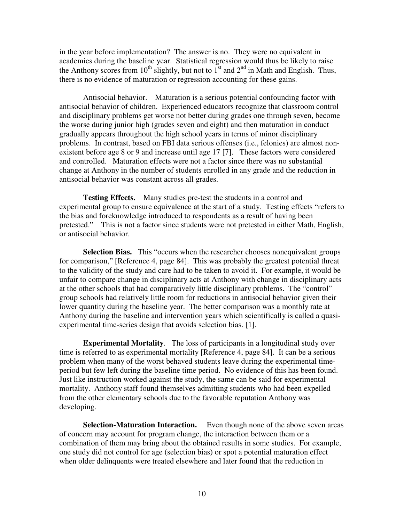in the year before implementation? The answer is no. They were no equivalent in academics during the baseline year. Statistical regression would thus be likely to raise the Anthony scores from  $10^{th}$  slightly, but not to  $1^{st}$  and  $2^{nd}$  in Math and English. Thus, there is no evidence of maturation or regression accounting for these gains.

Antisocial behavior. Maturation is a serious potential confounding factor with antisocial behavior of children. Experienced educators recognize that classroom control and disciplinary problems get worse not better during grades one through seven, become the worse during junior high (grades seven and eight) and then maturation in conduct gradually appears throughout the high school years in terms of minor disciplinary problems. In contrast, based on FBI data serious offenses (i.e., felonies) are almost nonexistent before age 8 or 9 and increase until age 17 [7]. These factors were considered and controlled. Maturation effects were not a factor since there was no substantial change at Anthony in the number of students enrolled in any grade and the reduction in antisocial behavior was constant across all grades.

**Testing Effects.** Many studies pre-test the students in a control and experimental group to ensure equivalence at the start of a study. Testing effects "refers to the bias and foreknowledge introduced to respondents as a result of having been pretested." This is not a factor since students were not pretested in either Math, English, or antisocial behavior.

**Selection Bias.** This "occurs when the researcher chooses nonequivalent groups for comparison," [Reference 4, page 84]. This was probably the greatest potential threat to the validity of the study and care had to be taken to avoid it. For example, it would be unfair to compare change in disciplinary acts at Anthony with change in disciplinary acts at the other schools that had comparatively little disciplinary problems. The "control" group schools had relatively little room for reductions in antisocial behavior given their lower quantity during the baseline year. The better comparison was a monthly rate at Anthony during the baseline and intervention years which scientifically is called a quasiexperimental time-series design that avoids selection bias. [1].

**Experimental Mortality**. The loss of participants in a longitudinal study over time is referred to as experimental mortality [Reference 4, page 84]. It can be a serious problem when many of the worst behaved students leave during the experimental timeperiod but few left during the baseline time period. No evidence of this has been found. Just like instruction worked against the study, the same can be said for experimental mortality. Anthony staff found themselves admitting students who had been expelled from the other elementary schools due to the favorable reputation Anthony was developing.

**Selection-Maturation Interaction.** Even though none of the above seven areas of concern may account for program change, the interaction between them or a combination of them may bring about the obtained results in some studies. For example, one study did not control for age (selection bias) or spot a potential maturation effect when older delinquents were treated elsewhere and later found that the reduction in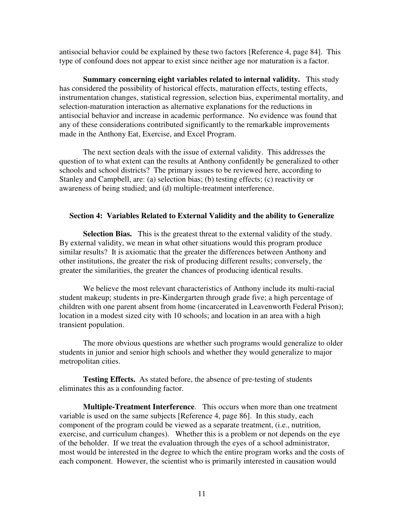antisocial behavior could be explained by these two factors [Reference 4, page 84]. This type of confound does not appear to exist since neither age nor maturation is a factor.

**Summary concerning eight variables related to internal validity.** This study has considered the possibility of historical effects, maturation effects, testing effects, instrumentation changes, statistical regression, selection bias, experimental mortality, and selection-maturation interaction as alternative explanations for the reductions in antisocial behavior and increase in academic performance. No evidence was found that any of these considerations contributed significantly to the remarkable improvements made in the Anthony Eat, Exercise, and Excel Program.

The next section deals with the issue of external validity. This addresses the question of to what extent can the results at Anthony confidently be generalized to other schools and school districts? The primary issues to be reviewed here, according to Stanley and Campbell, are: (a) selection bias; (b) testing effects; (c) reactivity or awareness of being studied; and (d) multiple-treatment interference.

#### **Section 4: Variables Related to External Validity and the ability to Generalize**

**Selection Bias.** This is the greatest threat to the external validity of the study. By external validity, we mean in what other situations would this program produce similar results? It is axiomatic that the greater the differences between Anthony and other institutions, the greater the risk of producing different results; conversely, the greater the similarities, the greater the chances of producing identical results.

We believe the most relevant characteristics of Anthony include its multi-racial student makeup; students in pre-Kindergarten through grade five; a high percentage of children with one parent absent from home (incarcerated in Leavenworth Federal Prison); location in a modest sized city with 10 schools; and location in an area with a high transient population.

The more obvious questions are whether such programs would generalize to older students in junior and senior high schools and whether they would generalize to major metropolitan cities.

**Testing Effects.** As stated before, the absence of pre-testing of students eliminates this as a confounding factor.

**Multiple-Treatment Interference**. This occurs when more than one treatment variable is used on the same subjects [Reference 4, page 86]. In this study, each component of the program could be viewed as a separate treatment, (i.e., nutrition, exercise, and curriculum changes). Whether this is a problem or not depends on the eye of the beholder. If we treat the evaluation through the eyes of a school administrator, most would be interested in the degree to which the entire program works and the costs of each component. However, the scientist who is primarily interested in causation would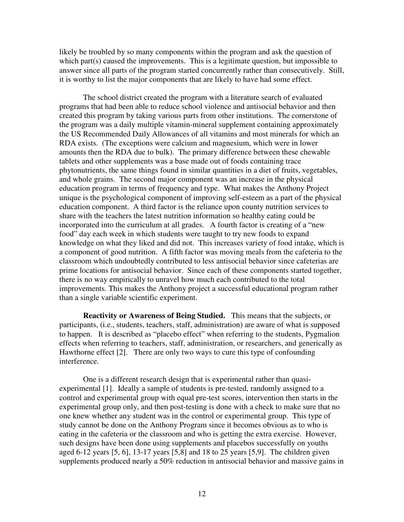likely be troubled by so many components within the program and ask the question of which part(s) caused the improvements. This is a legitimate question, but impossible to answer since all parts of the program started concurrently rather than consecutively. Still, it is worthy to list the major components that are likely to have had some effect.

The school district created the program with a literature search of evaluated programs that had been able to reduce school violence and antisocial behavior and then created this program by taking various parts from other institutions. The cornerstone of the program was a daily multiple vitamin-mineral supplement containing approximately the US Recommended Daily Allowances of all vitamins and most minerals for which an RDA exists. (The exceptions were calcium and magnesium, which were in lower amounts then the RDA due to bulk). The primary difference between these chewable tablets and other supplements was a base made out of foods containing trace phytonutrients, the same things found in similar quantities in a diet of fruits, vegetables, and whole grains. The second major component was an increase in the physical education program in terms of frequency and type. What makes the Anthony Project unique is the psychological component of improving self-esteem as a part of the physical education component. A third factor is the reliance upon county nutrition services to share with the teachers the latest nutrition information so healthy eating could be incorporated into the curriculum at all grades. A fourth factor is creating of a "new food" day each week in which students were taught to try new foods to expand knowledge on what they liked and did not. This increases variety of food intake, which is a component of good nutrition. A fifth factor was moving meals from the cafeteria to the classroom which undoubtedly contributed to less antisocial behavior since cafeterias are prime locations for antisocial behavior. Since each of these components started together, there is no way empirically to unravel how much each contributed to the total improvements. This makes the Anthony project a successful educational program rather than a single variable scientific experiment.

**Reactivity or Awareness of Being Studied.** This means that the subjects, or participants, (i.e., students, teachers, staff, administration) are aware of what is supposed to happen. It is described as "placebo effect" when referring to the students, Pygmalion effects when referring to teachers, staff, administration, or researchers, and generically as Hawthorne effect [2]. There are only two ways to cure this type of confounding interference.

One is a different research design that is experimental rather than quasiexperimental [1]. Ideally a sample of students is pre-tested, randomly assigned to a control and experimental group with equal pre-test scores, intervention then starts in the experimental group only, and then post-testing is done with a check to make sure that no one knew whether any student was in the control or experimental group. This type of study cannot be done on the Anthony Program since it becomes obvious as to who is eating in the cafeteria or the classroom and who is getting the extra exercise. However, such designs have been done using supplements and placebos successfully on youths aged 6-12 years [5, 6], 13-17 years [5,8] and 18 to 25 years [5,9]. The children given supplements produced nearly a 50% reduction in antisocial behavior and massive gains in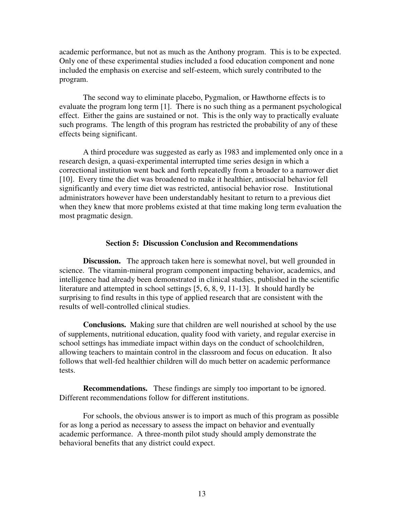academic performance, but not as much as the Anthony program. This is to be expected. Only one of these experimental studies included a food education component and none included the emphasis on exercise and self-esteem, which surely contributed to the program.

The second way to eliminate placebo, Pygmalion, or Hawthorne effects is to evaluate the program long term [1]. There is no such thing as a permanent psychological effect. Either the gains are sustained or not. This is the only way to practically evaluate such programs. The length of this program has restricted the probability of any of these effects being significant.

A third procedure was suggested as early as 1983 and implemented only once in a research design, a quasi-experimental interrupted time series design in which a correctional institution went back and forth repeatedly from a broader to a narrower diet [10]. Every time the diet was broadened to make it healthier, antisocial behavior fell significantly and every time diet was restricted, antisocial behavior rose. Institutional administrators however have been understandably hesitant to return to a previous diet when they knew that more problems existed at that time making long term evaluation the most pragmatic design.

#### **Section 5: Discussion Conclusion and Recommendations**

**Discussion.** The approach taken here is somewhat novel, but well grounded in science. The vitamin-mineral program component impacting behavior, academics, and intelligence had already been demonstrated in clinical studies, published in the scientific literature and attempted in school settings [5, 6, 8, 9, 11-13]. It should hardly be surprising to find results in this type of applied research that are consistent with the results of well-controlled clinical studies.

**Conclusions.** Making sure that children are well nourished at school by the use of supplements, nutritional education, quality food with variety, and regular exercise in school settings has immediate impact within days on the conduct of schoolchildren, allowing teachers to maintain control in the classroom and focus on education. It also follows that well-fed healthier children will do much better on academic performance tests.

**Recommendations.** These findings are simply too important to be ignored. Different recommendations follow for different institutions.

For schools, the obvious answer is to import as much of this program as possible for as long a period as necessary to assess the impact on behavior and eventually academic performance. A three-month pilot study should amply demonstrate the behavioral benefits that any district could expect.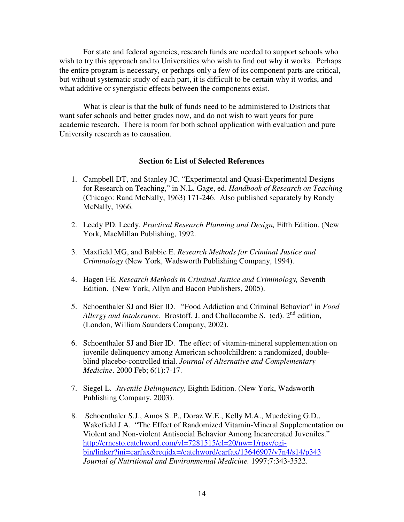For state and federal agencies, research funds are needed to support schools who wish to try this approach and to Universities who wish to find out why it works. Perhaps the entire program is necessary, or perhaps only a few of its component parts are critical, but without systematic study of each part, it is difficult to be certain why it works, and what additive or synergistic effects between the components exist.

What is clear is that the bulk of funds need to be administered to Districts that want safer schools and better grades now, and do not wish to wait years for pure academic research. There is room for both school application with evaluation and pure University research as to causation.

### **Section 6: List of Selected References**

- 1. Campbell DT, and Stanley JC. "Experimental and Quasi-Experimental Designs for Research on Teaching," in N.L. Gage, ed. *Handbook of Research on Teaching* (Chicago: Rand McNally, 1963) 171-246. Also published separately by Randy McNally, 1966.
- 2. Leedy PD. Leedy. *Practical Research Planning and Design,* Fifth Edition. (New York, MacMillan Publishing, 1992.
- 3. Maxfield MG, and Babbie E. *Research Methods for Criminal Justice and Criminology* (New York, Wadsworth Publishing Company, 1994).
- 4. Hagen FE. *Research Methods in Criminal Justice and Criminology,* Seventh Edition. (New York, Allyn and Bacon Publishers, 2005).
- 5. Schoenthaler SJ and Bier ID. "Food Addiction and Criminal Behavior" in *Food* Allergy and Intolerance. Brostoff, J. and Challacombe S. (ed). 2<sup>nd</sup> edition, (London, William Saunders Company, 2002).
- 6. Schoenthaler SJ and Bier ID. The effect of vitamin-mineral supplementation on juvenile delinquency among American schoolchildren: a randomized, doubleblind placebo-controlled trial. *Journal of Alternative and Complementary Medicine*. 2000 Feb; 6(1):7-17.
- 7. Siegel L. *Juvenile Delinquency*, Eighth Edition. (New York, Wadsworth Publishing Company, 2003).
- 8. Schoenthaler S.J., Amos S..P., Doraz W.E., Kelly M.A., Muedeking G.D., Wakefield J.A. "The Effect of Randomized Vitamin-Mineral Supplementation on Violent and Non-violent Antisocial Behavior Among Incarcerated Juveniles." http://ernesto.catchword.com/vl=7281515/cl=20/nw=1/rpsv/cgibin/linker?ini=carfax&reqidx=/catchword/carfax/13646907/v7n4/s14/p343 *Journal of Nutritional and Environmental Medicine.* 1997;7:343-3522.